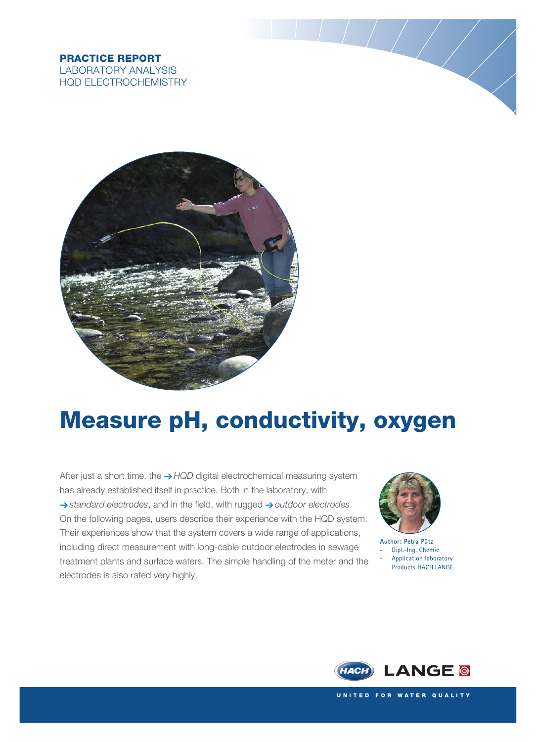### PRACTICE REPORT LABORATORY ANALYSIS HQD ELECTROCHEMISTRY



# Measure pH, conductivity, oxygen

After just a short time, the  $\rightarrow$  HQD digital electrochemical measuring system has already established itself in practice. Both in the laboratory, with  $\rightarrow$  standard electrodes, and in the field, with rugged  $\rightarrow$  outdoor electrodes. On the following pages, users describe their experience with the HQD system. Their experiences show that the system covers a wide range of applications, including direct measurement with long-cable outdoor electrodes in sewage treatment plants and surface waters. The simple handling of the meter and the electrodes is also rated very highly.



**Author: Petra Pütz** Dipl.-Ing. Chemie - Application laboratory Products HACH LANGE

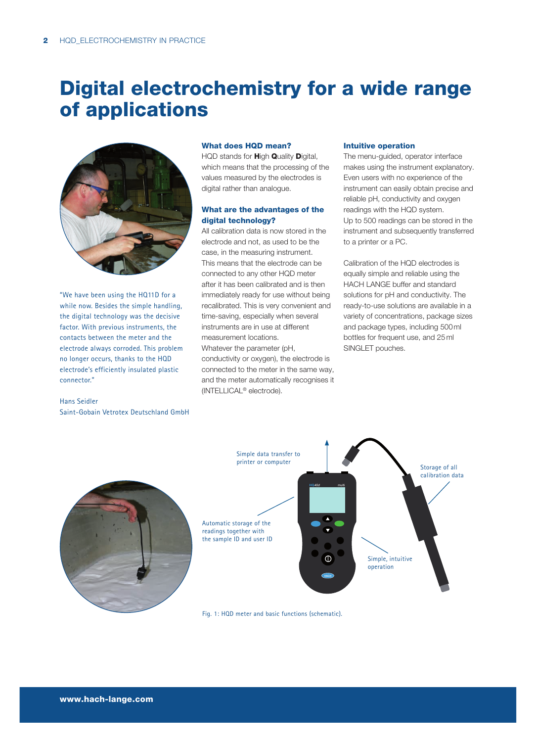### Digital electrochemistry for a wide range of applications



"We have been using the HQ11D for a while now. Besides the simple handling, the digital technology was the decisive factor. With previous instruments, the contacts between the meter and the electrode always corroded. This problem no longer occurs, thanks to the HQD electrode's efficiently insulated plastic connector."

#### Hans Seidler Saint-Gobain Vetrotex Deutschland GmbH

#### What does HQD mean?

HQD stands for **High Quality Digital**, which means that the processing of the values measured by the electrodes is digital rather than analogue.

#### What are the advantages of the digital technology?

All calibration data is now stored in the electrode and not, as used to be the case, in the measuring instrument. This means that the electrode can be connected to any other HQD meter after it has been calibrated and is then immediately ready for use without being recalibrated. This is very convenient and time-saving, especially when several instruments are in use at different measurement locations.

Whatever the parameter (pH, conductivity or oxygen), the electrode is connected to the meter in the same way, and the meter automatically recognises it (INTELLICAL® electrode).

#### Intuitive operation

The menu-guided, operator interface makes using the instrument explanatory. Even users with no experience of the instrument can easily obtain precise and reliable pH, conductivity and oxygen readings with the HQD system. Up to 500 readings can be stored in the instrument and subsequently transferred to a printer or a PC.

Calibration of the HQD electrodes is equally simple and reliable using the HACH LANGE buffer and standard solutions for pH and conductivity. The ready-to-use solutions are available in a variety of concentrations, package sizes and package types, including 500 ml bottles for frequent use, and 25 ml SINGLET pouches.



Fig. 1: HQD meter and basic functions (schematic).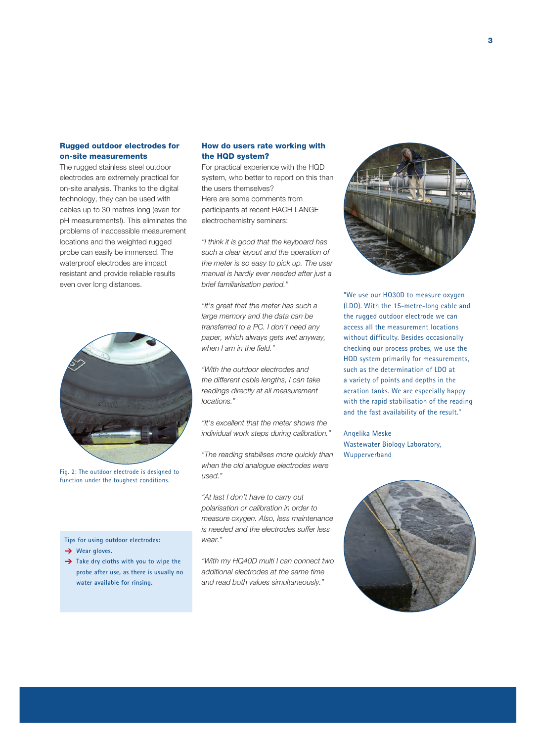#### Rugged outdoor electrodes for on-site measurements

The rugged stainless steel outdoor electrodes are extremely practical for on-site analysis. Thanks to the digital technology, they can be used with cables up to 30 metres long (even for pH measurements!). This eliminates the problems of inaccessible measurement locations and the weighted rugged probe can easily be immersed. The waterproof electrodes are impact resistant and provide reliable results even over long distances.



Fig. 2: The outdoor electrode is designed to function under the toughest conditions.

**Tips for using outdoor electrodes:**

- **→** Wear gloves.
- → Take dry cloths with you to wipe the **probe after use, as there is usually no water available for rinsing.**

#### How do users rate working with the HQD system?

For practical experience with the HQD system, who better to report on this than the users themselves? Here are some comments from participants at recent HACH LANGE electrochemistry seminars:

"I think it is good that the keyboard has such a clear layout and the operation of the meter is so easy to pick up. The user manual is hardly ever needed after just a brief familiarisation period."

"It's great that the meter has such a large memory and the data can be transferred to a PC. I don't need any paper, which always gets wet anyway, when I am in the field."

"With the outdoor electrodes and the different cable lengths, I can take readings directly at all measurement locations."

"It's excellent that the meter shows the individual work steps during calibration."

"The reading stabilises more quickly than when the old analogue electrodes were used."

"At last I don't have to carry out polarisation or calibration in order to measure oxygen. Also, less maintenance is needed and the electrodes suffer less wear."

"With my HQ40D multi I can connect two additional electrodes at the same time and read both values simultaneously."



"We use our HQ30D to measure oxygen (LDO). With the 15-metre-long cable and the rugged outdoor electrode we can access all the measurement locations without difficulty. Besides occasionally checking our process probes, we use the HQD system primarily for measurements, such as the determination of LDO at a variety of points and depths in the aeration tanks. We are especially happy with the rapid stabilisation of the reading and the fast availability of the result."

Angelika Meske Wastewater Biology Laboratory, Wupperverband